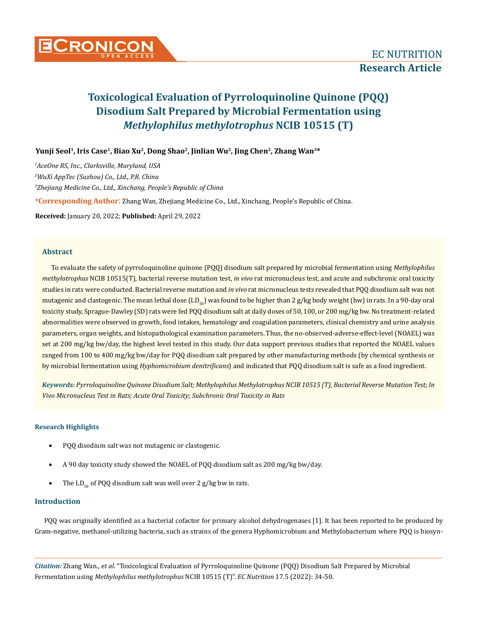

Yunji Seol<sup>1</sup>, Iris Case<sup>1</sup>, Biao Xu<sup>2</sup>, Dong Shao<sup>2</sup>, Jinlian Wu<sup>2</sup>, Jing Chen<sup>2</sup>, Zhang Wan<sup>3\*</sup>

**\*Corresponding Author**: Zhang Wan, Zhejiang Medicine Co., Ltd., Xinchang, People's Republic of China. *AceOne RS, Inc., Clarksville, Maryland, USA WuXi AppTec (Suzhou) Co., Ltd., P.R. China Zhejiang Medicine Co., Ltd., Xinchang, People's Republic of China*

**Received:** January 20, 2022; **Published:** April 29, 2022

## **Abstract**

To evaluate the safety of pyrroloquinoline quinone (PQQ) disodium salt prepared by microbial fermentation using *Methylophilus methylotrophus* NCIB 10515(T), bacterial reverse mutation test, *in vivo* rat micronucleus test, and acute and subchronic oral toxicity studies in rats were conducted. Bacterial reverse mutation and *in vivo* rat micronucleus tests revealed that PQQ disodium salt was not mutagenic and clastogenic. The mean lethal dose  $(LD_{50})$  was found to be higher than 2 g/kg body weight (bw) in rats. In a 90-day oral toxicity study, Sprague-Dawley (SD) rats were fed PQQ disodium salt at daily doses of 50, 100, or 200 mg/kg bw. No treatment-related abnormalities were observed in growth, food intakes, hematology and coagulation parameters, clinical chemistry and urine analysis parameters, organ weights, and histopathological examination parameters. Thus, the no-observed-adverse-effect-level (NOAEL) was set at 200 mg/kg bw/day, the highest level tested in this study. Our data support previous studies that reported the NOAEL values ranged from 100 to 400 mg/kg bw/day for PQQ disodium salt prepared by other manufacturing methods (by chemical synthesis or by microbial fermentation using *Hyphomicrobium denitrificans*) and indicated that PQQ disodium salt is safe as a food ingredient.

*Keywords: Pyrroloquinoline Quinone Disodium Salt; Methylophilus Methylotrophus NCIB 10515 (T), Bacterial Reverse Mutation Test; In Vivo Micronucleus Test in Rats; Acute Oral Toxicity; Subchronic Oral Toxicity in Rats*

# **Research Highlights**

- PQQ disodium salt was not mutagenic or clastogenic.
- A 90 day toxicity study showed the NOAEL of PQQ disodium salt as 200 mg/kg bw/day.
- The LD<sub>50</sub> of PQQ disodium salt was well over 2 g/kg bw in rats.

# **Introduction**

PQQ was originally identified as a bacterial cofactor for primary alcohol dehydrogenases [1]. It has been reported to be produced by Gram-negative, methanol-utilizing bacteria, such as strains of the genera Hyphomicrobium and Methylobacterium where PQQ is biosyn-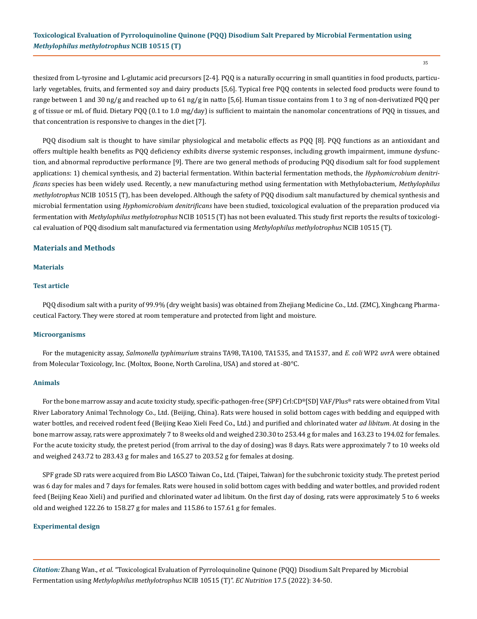35

thesized from L-tyrosine and L-glutamic acid precursors [2-4]. PQQ is a naturally occurring in small quantities in food products, particularly vegetables, fruits, and fermented soy and dairy products [5,6]. Typical free PQQ contents in selected food products were found to range between 1 and 30 ng/g and reached up to 61 ng/g in natto [5,6]. Human tissue contains from 1 to 3 ng of non-derivatized PQQ per g of tissue or mL of fluid. Dietary PQQ (0.1 to 1.0 mg/day) is sufficient to maintain the nanomolar concentrations of PQQ in tissues, and that concentration is responsive to changes in the diet [7].

PQQ disodium salt is thought to have similar physiological and metabolic effects as PQQ [8]. PQQ functions as an antioxidant and offers multiple health benefits as PQQ deficiency exhibits diverse systemic responses, including growth impairment, immune dysfunction, and abnormal reproductive performance [9]. There are two general methods of producing PQQ disodium salt for food supplement applications: 1) chemical synthesis, and 2) bacterial fermentation. Within bacterial fermentation methods, the *Hyphomicrobium denitrificans* species has been widely used. Recently, a new manufacturing method using fermentation with Methylobacterium*, Methylophilus methylotrophus* NCIB 10515 (T), has been developed. Although the safety of PQQ disodium salt manufactured by chemical synthesis and microbial fermentation using *Hyphomicrobium denitrificans* have been studied, toxicological evaluation of the preparation produced via fermentation with *Methylophilus methylotrophus* NCIB 10515 (T) has not been evaluated. This study first reports the results of toxicological evaluation of PQQ disodium salt manufactured via fermentation using *Methylophilus methylotrophus* NCIB 10515 (T).

# **Materials and Methods**

#### **Materials**

#### **Test article**

PQQ disodium salt with a purity of 99.9% (dry weight basis) was obtained from Zhejiang Medicine Co., Ltd. (ZMC), Xinghcang Pharmaceutical Factory. They were stored at room temperature and protected from light and moisture.

#### **Microorganisms**

For the mutagenicity assay, *Salmonella typhimurium* strains TA98, TA100, TA1535, and TA1537, and *E. coli* WP2 *uvr*A were obtained from Molecular Toxicology, Inc. (Moltox, Boone, North Carolina, USA) and stored at -80°C.

#### **Animals**

For the bone marrow assay and acute toxicity study, specific-pathogen-free (SPF) Crl:CD®[SD] VAF/Plus® rats were obtained from Vital River Laboratory Animal Technology Co., Ltd. (Beijing, China). Rats were housed in solid bottom cages with bedding and equipped with water bottles, and received rodent feed (Beijing Keao Xieli Feed Co., Ltd.) and purified and chlorinated water *ad libitum*. At dosing in the bone marrow assay, rats were approximately 7 to 8 weeks old and weighed 230.30 to 253.44 g for males and 163.23 to 194.02 for females. For the acute toxicity study, the pretest period (from arrival to the day of dosing) was 8 days. Rats were approximately 7 to 10 weeks old and weighed 243.72 to 283.43 g for males and 165.27 to 203.52 g for females at dosing.

SPF grade SD rats were acquired from Bio LASCO Taiwan Co., Ltd. (Taipei, Taiwan) for the subchronic toxicity study. The pretest period was 6 day for males and 7 days for females. Rats were housed in solid bottom cages with bedding and water bottles, and provided rodent feed (Beijing Keao Xieli) and purified and chlorinated water ad libitum. On the first day of dosing, rats were approximately 5 to 6 weeks old and weighed 122.26 to 158.27 g for males and 115.86 to 157.61 g for females.

#### **Experimental design**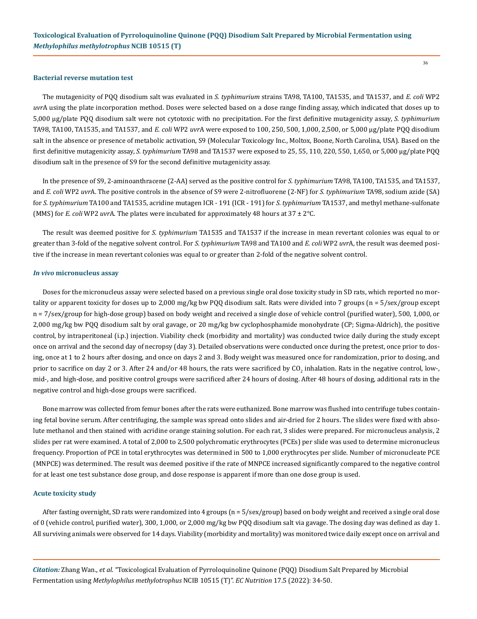#### **Bacterial reverse mutation test**

The mutagenicity of PQQ disodium salt was evaluated in *S. typhimurium* strains TA98, TA100, TA1535, and TA1537, and *E. coli* WP2 *uvr*A using the plate incorporation method. Doses were selected based on a dose range finding assay, which indicated that doses up to 5,000 μg/plate PQQ disodium salt were not cytotoxic with no precipitation. For the first definitive mutagenicity assay, *S. typhimurium* TA98, TA100, TA1535, and TA1537, and *E. coli* WP2 *uvr*A were exposed to 100, 250, 500, 1,000, 2,500, or 5,000 μg/plate PQQ disodium salt in the absence or presence of metabolic activation, S9 (Molecular Toxicology Inc., Moltox, Boone, North Carolina, USA). Based on the first definitive mutagenicity assay, *S. typhimurium* TA98 and TA1537 were exposed to 25, 55, 110, 220, 550, 1,650, or 5,000 μg/plate PQQ disodium salt in the presence of S9 for the second definitive mutagenicity assay.

In the presence of S9, 2-aminoanthracene (2-AA) served as the positive control for *S. typhimurium* TA98, TA100, TA1535, and TA1537, and *E. coli* WP2 *uvr*A. The positive controls in the absence of S9 were 2-nitrofluorene (2-NF) for *S. typhimurium* TA98, sodium azide (SA) for *S. typhimurium* TA100 and TA1535, acridine mutagen ICR - 191 (ICR - 191) for *S. typhimurium* TA1537, and methyl methane-sulfonate (MMS) for *E. coli* WP2 *uvr*A. The plates were incubated for approximately 48 hours at 37 ± 2°C.

The result was deemed positive for *S. typhimurium* TA1535 and TA1537 if the increase in mean revertant colonies was equal to or greater than 3-fold of the negative solvent control. For *S. typhimurium* TA98 and TA100 and *E. coli* WP2 *uvr*A, the result was deemed positive if the increase in mean revertant colonies was equal to or greater than 2-fold of the negative solvent control.

### *In vivo* **micronucleus assay**

Doses for the micronucleus assay were selected based on a previous single oral dose toxicity study in SD rats, which reported no mortality or apparent toxicity for doses up to 2,000 mg/kg bw PQQ disodium salt. Rats were divided into 7 groups (n = 5/sex/group except n = 7/sex/group for high-dose group) based on body weight and received a single dose of vehicle control (purified water), 500, 1,000, or 2,000 mg/kg bw PQQ disodium salt by oral gavage, or 20 mg/kg bw cyclophosphamide monohydrate (CP; Sigma-Aldrich), the positive control, by intraperitoneal (i.p.) injection. Viability check (morbidity and mortality) was conducted twice daily during the study except once on arrival and the second day of necropsy (day 3). Detailed observations were conducted once during the pretest, once prior to dosing, once at 1 to 2 hours after dosing, and once on days 2 and 3. Body weight was measured once for randomization, prior to dosing, and prior to sacrifice on day 2 or 3. After 24 and/or 48 hours, the rats were sacrificed by  $\rm{CO}_2$  inhalation. Rats in the negative control, low-, mid-, and high-dose, and positive control groups were sacrificed after 24 hours of dosing. After 48 hours of dosing, additional rats in the negative control and high-dose groups were sacrificed.

Bone marrow was collected from femur bones after the rats were euthanized. Bone marrow was flushed into centrifuge tubes containing fetal bovine serum. After centrifuging, the sample was spread onto slides and air-dried for 2 hours. The slides were fixed with absolute methanol and then stained with acridine orange staining solution. For each rat, 3 slides were prepared. For micronucleus analysis, 2 slides per rat were examined. A total of 2,000 to 2,500 polychromatic erythrocytes (PCEs) per slide was used to determine micronucleus frequency. Proportion of PCE in total erythrocytes was determined in 500 to 1,000 erythrocytes per slide. Number of micronucleate PCE (MNPCE) was determined. The result was deemed positive if the rate of MNPCE increased significantly compared to the negative control for at least one test substance dose group, and dose response is apparent if more than one dose group is used.

#### **Acute toxicity study**

After fasting overnight, SD rats were randomized into 4 groups (n = 5/sex/group) based on body weight and received a single oral dose of 0 (vehicle control, purified water), 300, 1,000, or 2,000 mg/kg bw PQQ disodium salt via gavage. The dosing day was defined as day 1. All surviving animals were observed for 14 days. Viability (morbidity and mortality) was monitored twice daily except once on arrival and

*Citation:* Zhang Wan., *et al*. "Toxicological Evaluation of Pyrroloquinoline Quinone (PQQ) Disodium Salt Prepared by Microbial Fermentation using *Methylophilus methylotrophus* NCIB 10515 (T)". *EC Nutrition* 17.5 (2022): 34-50.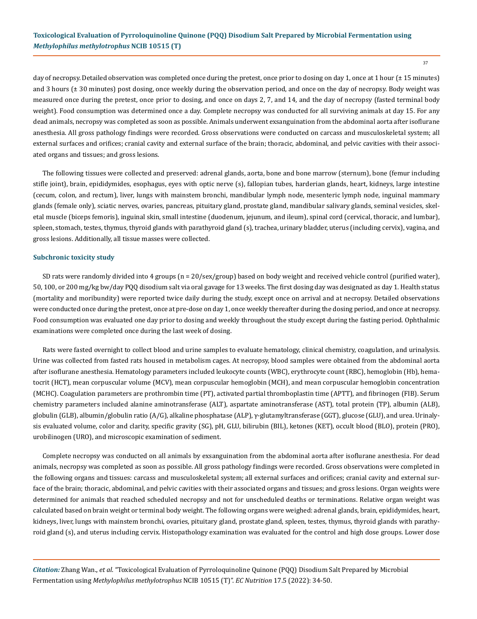37

day of necropsy. Detailed observation was completed once during the pretest, once prior to dosing on day 1, once at 1 hour ( $\pm$  15 minutes) and 3 hours ( $\pm$  30 minutes) post dosing, once weekly during the observation period, and once on the day of necropsy. Body weight was measured once during the pretest, once prior to dosing, and once on days 2, 7, and 14, and the day of necropsy (fasted terminal body weight). Food consumption was determined once a day. Complete necropsy was conducted for all surviving animals at day 15. For any dead animals, necropsy was completed as soon as possible. Animals underwent exsanguination from the abdominal aorta after isoflurane anesthesia. All gross pathology findings were recorded. Gross observations were conducted on carcass and musculoskeletal system; all external surfaces and orifices; cranial cavity and external surface of the brain; thoracic, abdominal, and pelvic cavities with their associated organs and tissues; and gross lesions.

The following tissues were collected and preserved: adrenal glands, aorta, bone and bone marrow (sternum), bone (femur including stifle joint), brain, epididymides, esophagus, eyes with optic nerve (s), fallopian tubes, harderian glands, heart, kidneys, large intestine (cecum, colon, and rectum), liver, lungs with mainstem bronchi, mandibular lymph node, mesenteric lymph node, inguinal mammary glands (female only), sciatic nerves, ovaries, pancreas, pituitary gland, prostate gland, mandibular salivary glands, seminal vesicles, skeletal muscle (biceps femoris), inguinal skin, small intestine (duodenum, jejunum, and ileum), spinal cord (cervical, thoracic, and lumbar), spleen, stomach, testes, thymus, thyroid glands with parathyroid gland (s), trachea, urinary bladder, uterus (including cervix), vagina, and gross lesions. Additionally, all tissue masses were collected.

#### **Subchronic toxicity study**

SD rats were randomly divided into 4 groups (n = 20/sex/group) based on body weight and received vehicle control (purified water), 50, 100, or 200 mg/kg bw/day PQQ disodium salt via oral gavage for 13 weeks. The first dosing day was designated as day 1. Health status (mortality and moribundity) were reported twice daily during the study, except once on arrival and at necropsy. Detailed observations were conducted once during the pretest, once at pre-dose on day 1, once weekly thereafter during the dosing period, and once at necropsy. Food consumption was evaluated one day prior to dosing and weekly throughout the study except during the fasting period. Ophthalmic examinations were completed once during the last week of dosing.

Rats were fasted overnight to collect blood and urine samples to evaluate hematology, clinical chemistry, coagulation, and urinalysis. Urine was collected from fasted rats housed in metabolism cages. At necropsy, blood samples were obtained from the abdominal aorta after isoflurane anesthesia. Hematology parameters included leukocyte counts (WBC), erythrocyte count (RBC), hemoglobin (Hb), hematocrit (HCT), mean corpuscular volume (MCV), mean corpuscular hemoglobin (MCH), and mean corpuscular hemoglobin concentration (MCHC). Coagulation parameters are prothrombin time (PT), activated partial thromboplastin time (APTT), and fibrinogen (FIB). Serum chemistry parameters included alanine aminotransferase (ALT), aspartate aminotransferase (AST), total protein (TP), albumin (ALB), globulin (GLB), albumin/globulin ratio (A/G), alkaline phosphatase (ALP), γ-glutamyltransferase (GGT), glucose (GLU), and urea. Urinalysis evaluated volume, color and clarity, specific gravity (SG), pH, GLU, bilirubin (BIL), ketones (KET), occult blood (BLO), protein (PRO), urobilinogen (URO), and microscopic examination of sediment.

Complete necropsy was conducted on all animals by exsanguination from the abdominal aorta after isoflurane anesthesia. For dead animals, necropsy was completed as soon as possible. All gross pathology findings were recorded. Gross observations were completed in the following organs and tissues: carcass and musculoskeletal system; all external surfaces and orifices; cranial cavity and external surface of the brain; thoracic, abdominal, and pelvic cavities with their associated organs and tissues; and gross lesions. Organ weights were determined for animals that reached scheduled necropsy and not for unscheduled deaths or terminations. Relative organ weight was calculated based on brain weight or terminal body weight. The following organs were weighed: adrenal glands, brain, epididymides, heart, kidneys, liver, lungs with mainstem bronchi, ovaries, pituitary gland, prostate gland, spleen, testes, thymus, thyroid glands with parathyroid gland (s), and uterus including cervix. Histopathology examination was evaluated for the control and high dose groups. Lower dose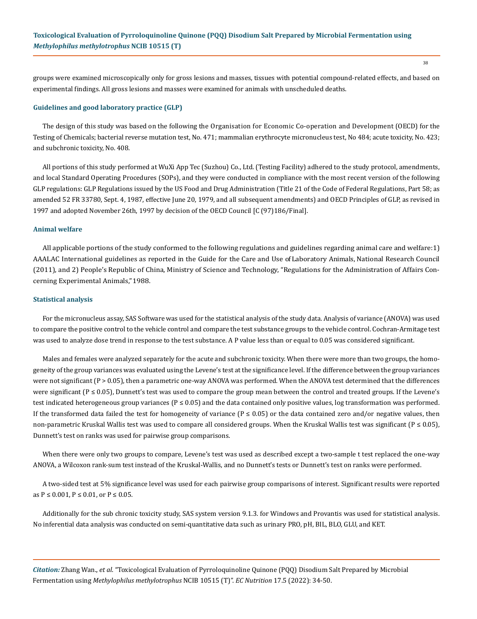groups were examined microscopically only for gross lesions and masses, tissues with potential compound-related effects, and based on experimental findings. All gross lesions and masses were examined for animals with unscheduled deaths.

#### **Guidelines and good laboratory practice (GLP)**

The design of this study was based on the following the Organisation for Economic Co-operation and Development (OECD) for the Testing of Chemicals; bacterial reverse mutation test, No. 471; mammalian erythrocyte micronucleus test, No 484; acute toxicity, No. 423; and subchronic toxicity, No. 408.

All portions of this study performed at WuXi App Tec (Suzhou) Co., Ltd. (Testing Facility) adhered to the study protocol, amendments, and local Standard Operating Procedures (SOPs), and they were conducted in compliance with the most recent version of the following GLP regulations: GLP Regulations issued by the US Food and Drug Administration (Title 21 of the Code of Federal Regulations, Part 58; as amended 52 FR 33780, Sept. 4, 1987, effective June 20, 1979, and all subsequent amendments) and OECD Principles of GLP, as revised in 1997 and adopted November 26th, 1997 by decision of the OECD Council [C (97)186/Final].

#### **Animal welfare**

All applicable portions of the study conformed to the following regulations and guidelines regarding animal care and welfare:1) AAALAC International guidelines as reported in the Guide for the Care and Use of Laboratory Animals, National Research Council (2011), and 2) People's Republic of China, Ministry of Science and Technology, "Regulations for the Administration of Affairs Concerning Experimental Animals," 1988.

#### **Statistical analysis**

For the micronucleus assay, SAS Software was used for the statistical analysis of the study data. Analysis of variance (ANOVA) was used to compare the positive control to the vehicle control and compare the test substance groups to the vehicle control. Cochran-Armitage test was used to analyze dose trend in response to the test substance. A P value less than or equal to 0.05 was considered significant.

Males and females were analyzed separately for the acute and subchronic toxicity. When there were more than two groups, the homogeneity of the group variances was evaluated using the Levene's test at the significance level. If the difference between the group variances were not significant (P > 0.05), then a parametric one-way ANOVA was performed. When the ANOVA test determined that the differences were significant ( $P \le 0.05$ ), Dunnett's test was used to compare the group mean between the control and treated groups. If the Levene's test indicated heterogeneous group variances ( $P \le 0.05$ ) and the data contained only positive values, log transformation was performed. If the transformed data failed the test for homogeneity of variance ( $P \le 0.05$ ) or the data contained zero and/or negative values, then non-parametric Kruskal Wallis test was used to compare all considered groups. When the Kruskal Wallis test was significant ( $P \le 0.05$ ), Dunnett's test on ranks was used for pairwise group comparisons.

When there were only two groups to compare, Levene's test was used as described except a two-sample t test replaced the one-way ANOVA, a Wilcoxon rank-sum test instead of the Kruskal-Wallis, and no Dunnett's tests or Dunnett's test on ranks were performed.

A two-sided test at 5% significance level was used for each pairwise group comparisons of interest. Significant results were reported as  $P \le 0.001$ ,  $P \le 0.01$ , or  $P \le 0.05$ .

Additionally for the sub chronic toxicity study, SAS system version 9.1.3. for Windows and Provantis was used for statistical analysis. No inferential data analysis was conducted on semi-quantitative data such as urinary PRO, pH, BIL, BLO, GLU, and KET.

*Citation:* Zhang Wan., *et al*. "Toxicological Evaluation of Pyrroloquinoline Quinone (PQQ) Disodium Salt Prepared by Microbial Fermentation using *Methylophilus methylotrophus* NCIB 10515 (T)". *EC Nutrition* 17.5 (2022): 34-50.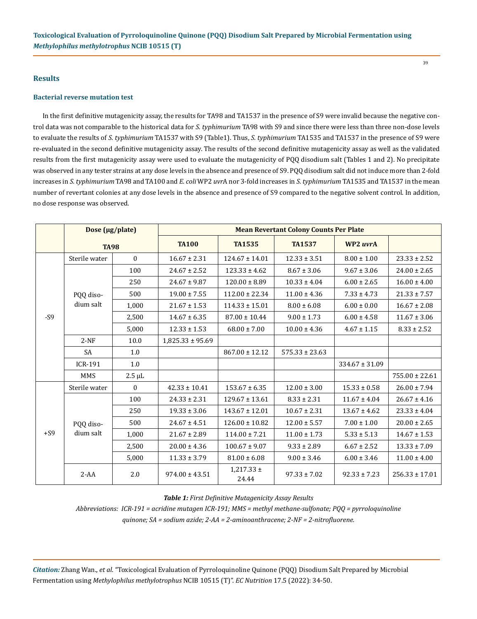## **Results**

#### **Bacterial reverse mutation test**

In the first definitive mutagenicity assay, the results for TA98 and TA1537 in the presence of S9 were invalid because the negative control data was not comparable to the historical data for *S. typhimurium* TA98 with S9 and since there were less than three non-dose levels to evaluate the results of *S. typhimurium* TA1537 with S9 (Table1). Thus, *S. typhimurium* TA1535 and TA1537 in the presence of S9 were re-evaluated in the second definitive mutagenicity assay. The results of the second definitive mutagenicity assay as well as the validated results from the first mutagenicity assay were used to evaluate the mutagenicity of PQQ disodium salt (Tables 1 and 2). No precipitate was observed in any tester strains at any dose levels in the absence and presence of S9. PQQ disodium salt did not induce more than 2-fold increases in *S. typhimurium* TA98 and TA100 and *E. coli* WP2 *uvr*A nor 3-fold increases in *S. typhimurium* TA1535 and TA1537 in the mean number of revertant colonies at any dose levels in the absence and presence of S9 compared to the negative solvent control. In addition, no dose response was observed.

|       | Dose (µg/plate)<br><b>TA98</b> |             |                      |                         | <b>Mean Revertant Colony Counts Per Plate</b> |                    |                    |
|-------|--------------------------------|-------------|----------------------|-------------------------|-----------------------------------------------|--------------------|--------------------|
|       |                                |             | <b>TA100</b>         | <b>TA1535</b>           | <b>TA1537</b>                                 | WP2 uvrA           |                    |
|       | Sterile water                  | $\theta$    | $16.67 \pm 2.31$     | $124.67 \pm 14.01$      | $12.33 \pm 3.51$                              | $8.00 \pm 1.00$    | $23.33 \pm 2.52$   |
|       |                                | 100         | $24.67 \pm 2.52$     | $123.33 \pm 4.62$       | $8.67 \pm 3.06$                               | $9.67 \pm 3.06$    | $24.00 \pm 2.65$   |
|       |                                | 250         | $24.67 \pm 9.87$     | $120.00 \pm 8.89$       | $10.33 \pm 4.04$                              | $6.00 \pm 2.65$    | $16.00 \pm 4.00$   |
|       | POO diso-                      | 500         | $19.00 \pm 7.55$     | $112.00 \pm 22.34$      | $11.00 \pm 4.36$                              | $7.33 \pm 4.73$    | $21.33 \pm 7.57$   |
|       | dium salt                      | 1,000       | $21.67 \pm 1.53$     | $114.33 \pm 15.01$      | $8.00 \pm 6.08$                               | $6.00 \pm 0.00$    | $16.67 \pm 2.08$   |
| $-S9$ |                                | 2,500       | $14.67 \pm 6.35$     | $87.00 \pm 10.44$       | $9.00 \pm 1.73$                               | $6.00 \pm 4.58$    | $11.67 \pm 3.06$   |
|       |                                | 5,000       | $12.33 \pm 1.53$     | $68.00 \pm 7.00$        | $10.00 \pm 4.36$                              | $4.67 \pm 1.15$    | $8.33 \pm 2.52$    |
|       | $2-NF$                         | 10.0        | $1,825.33 \pm 95.69$ |                         |                                               |                    |                    |
|       | <b>SA</b>                      | 1.0         |                      | $867.00 \pm 12.12$      | $575.33 \pm 23.63$                            |                    |                    |
|       | <b>ICR-191</b>                 | 1.0         |                      |                         |                                               | $334.67 \pm 31.09$ |                    |
|       | <b>MMS</b>                     | $2.5 \mu L$ |                      |                         |                                               |                    | $755.00 \pm 22.61$ |
|       | Sterile water                  | $\Omega$    | $42.33 \pm 10.41$    | $153.67 \pm 6.35$       | $12.00 \pm 3.00$                              | $15.33 \pm 0.58$   | $26.00 \pm 7.94$   |
|       |                                | 100         | $24.33 \pm 2.31$     | $129.67 \pm 13.61$      | $8.33 \pm 2.31$                               | $11.67 \pm 4.04$   | $26.67 \pm 4.16$   |
|       |                                | 250         | $19.33 \pm 3.06$     | $143.67 \pm 12.01$      | $10.67 \pm 2.31$                              | $13.67 \pm 4.62$   | $23.33 \pm 4.04$   |
|       | PQQ diso-                      | 500         | $24.67 \pm 4.51$     | $126.00 \pm 10.82$      | $12.00 \pm 5.57$                              | $7.00 \pm 1.00$    | $20.00 \pm 2.65$   |
| $+S9$ | dium salt                      | 1,000       | $21.67 \pm 2.89$     | $114.00 \pm 7.21$       | $11.00 \pm 1.73$                              | $5.33 \pm 5.13$    | $14.67 \pm 1.53$   |
|       |                                | 2,500       | $20.00 \pm 4.36$     | $100.67 \pm 9.07$       | $9.33 \pm 2.89$                               | $6.67 \pm 2.52$    | $13.33 \pm 7.09$   |
|       |                                | 5,000       | $11.33 \pm 3.79$     | $81.00 \pm 6.08$        | $9.00 \pm 3.46$                               | $6.00 \pm 3.46$    | $11.00 \pm 4.00$   |
|       | $2 - AA$                       | 2.0         | $974.00 \pm 43.51$   | $1,217.33 \pm$<br>24.44 | $97.33 \pm 7.02$                              | $92.33 \pm 7.23$   | $256.33 \pm 17.01$ |

*Table 1: First Definitive Mutagenicity Assay Results*

*Abbreviations: ICR-191 = acridine mutagen ICR-191; MMS = methyl methane-sulfonate; PQQ = pyrroloquinoline quinone; SA = sodium azide; 2-AA = 2-aminoanthracene; 2-NF = 2-nitrofluorene.*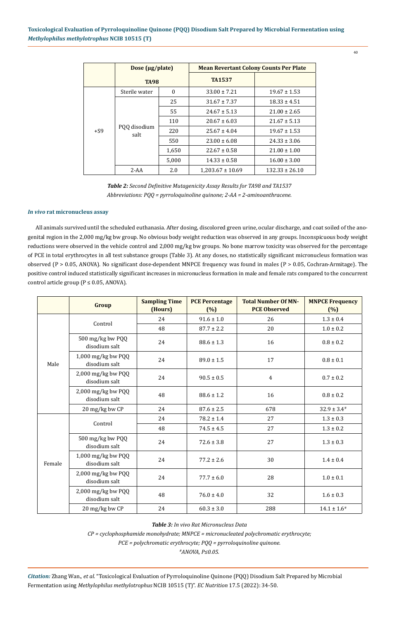|       | Dose $(\mu$ g/plate) |              | <b>Mean Revertant Colony Counts Per Plate</b> |                    |  |
|-------|----------------------|--------------|-----------------------------------------------|--------------------|--|
|       | <b>TA98</b>          |              | <b>TA1537</b>                                 |                    |  |
|       | Sterile water        | $\mathbf{0}$ | $33.00 \pm 7.21$                              | $19.67 \pm 1.53$   |  |
|       |                      | 25           | $31.67 \pm 7.37$                              | $18.33 \pm 4.51$   |  |
|       |                      | 55           | $24.67 \pm 5.13$                              | $21.00 \pm 2.65$   |  |
|       |                      | 110          | $20.67 \pm 6.03$                              | $21.67 \pm 5.13$   |  |
| $+S9$ | PQQ disodium<br>salt | 220          | $25.67 \pm 4.04$                              | $19.67 \pm 1.53$   |  |
|       |                      | 550          | $23.00 \pm 6.08$                              | $24.33 \pm 3.06$   |  |
|       |                      | 1,650        | $22.67 \pm 0.58$                              | $21.00 \pm 1.00$   |  |
|       |                      | 5,000        | $14.33 \pm 0.58$                              | $16.00 \pm 3.00$   |  |
|       | $2 - AA$             | 2.0          | $1,203.67 \pm 10.69$                          | $132.33 \pm 26.10$ |  |

*Table 2: Second Definitive Mutagenicity Assay Results for TA98 and TA1537 Abbreviations: PQQ = pyrroloquinoline quinone; 2-AA = 2-aminoanthracene.*

# *In vivo* **rat micronucleus assay**

All animals survived until the scheduled euthanasia. After dosing, discolored green urine, ocular discharge, and coat soiled of the anogenital region in the 2,000 mg/kg bw group. No obvious body weight reduction was observed in any groups. Inconspicuous body weight reductions were observed in the vehicle control and 2,000 mg/kg bw groups. No bone marrow toxicity was observed for the percentage of PCE in total erythrocytes in all test substance groups (Table 3). At any doses, no statistically significant micronucleus formation was observed (P > 0.05, ANOVA). No significant dose-dependent MNPCE frequency was found in males (P > 0.05, Cochran-Armitage). The positive control induced statistically significant increases in micronucleus formation in male and female rats compared to the concurrent control article group ( $P \le 0.05$ , ANOVA).

|        | Group                                 | <b>Sampling Time</b><br>(Hours) | <b>PCE Percentage</b><br>(%) | <b>Total Number Of MN-</b><br><b>PCE Observed</b> | <b>MNPCE Frequency</b><br>(%) |
|--------|---------------------------------------|---------------------------------|------------------------------|---------------------------------------------------|-------------------------------|
|        | Control                               | 24                              | $91.6 \pm 1.0$               | 26                                                | $1.3 \pm 0.4$                 |
|        |                                       | 48                              | $87.7 \pm 2.2$               | 20                                                | $1.0 \pm 0.2$                 |
|        | 500 mg/kg bw PQQ<br>disodium salt     | 24                              | $88.6 \pm 1.3$               | 16                                                | $0.8 \pm 0.2$                 |
| Male   | 1,000 mg/kg bw PQQ<br>disodium salt   | 24                              | $89.0 \pm 1.5$               | 17                                                | $0.8 \pm 0.1$                 |
|        | 2,000 mg/kg bw PQQ<br>disodium salt   | 24                              | $90.5 \pm 0.5$               | $\overline{4}$                                    | $0.7 \pm 0.2$                 |
|        | 2,000 mg/kg bw PQQ<br>disodium salt   | 48                              | $88.6 \pm 1.2$               | 16                                                | $0.8 \pm 0.2$                 |
|        | 20 mg/kg bw CP                        | 24                              | $87.6 \pm 2.5$               | 678                                               | $32.9 \pm 3.4^*$              |
|        | Control                               | 24                              | $78.2 \pm 1.4$               | 27                                                | $1.3 \pm 0.3$                 |
|        |                                       | 48                              | $74.5 \pm 4.5$               | 27                                                | $1.3 \pm 0.2$                 |
|        | 500 mg/kg bw PQQ<br>disodium salt     | 24                              | $72.6 \pm 3.8$               | 27                                                | $1.3 \pm 0.3$                 |
| Female | 1,000 mg/kg bw PQQ<br>disodium salt   | 24                              | $77.2 \pm 2.6$               | 30                                                | $1.4 \pm 0.4$                 |
|        | $2,000$ mg/kg bw PQQ<br>disodium salt | 24                              | $77.7 \pm 6.0$               | 28                                                | $1.0 \pm 0.1$                 |
|        | $2,000$ mg/kg bw PQQ<br>disodium salt | 48                              | $76.0 \pm 4.0$               | 32                                                | $1.6 \pm 0.3$                 |
|        | 20 mg/kg bw CP                        | 24                              | $60.3 \pm 3.0$               | 288                                               | $14.1 \pm 1.6^*$              |

*Table 3: In vivo Rat Micronucleus Data*

*CP = cyclophosphamide monohydrate; MNPCE = micronucleated polychromatic erythrocyte;* 

*PCE = polychromatic erythrocyte; PQQ = pyrroloquinoline quinone.*

*#ANOVA, P≤0.05.*

*Citation:* Zhang Wan., *et al*. "Toxicological Evaluation of Pyrroloquinoline Quinone (PQQ) Disodium Salt Prepared by Microbial Fermentation using *Methylophilus methylotrophus* NCIB 10515 (T)". *EC Nutrition* 17.5 (2022): 34-50.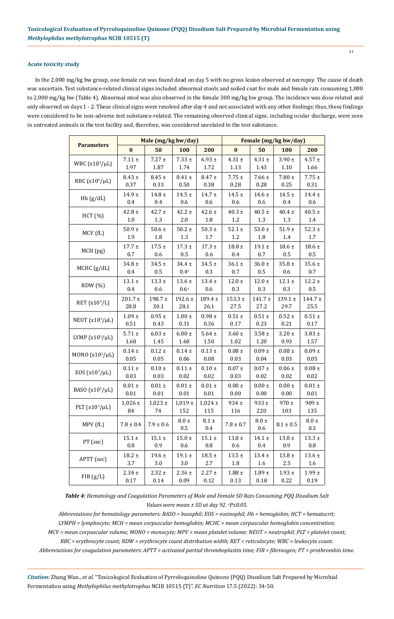## **Acute toxicity study**

In the 2,000 mg/kg bw group, one female rat was found dead on day 5 with no gross lesion observed at necropsy. The cause of death was uncertain. Test substance-related clinical signs included abnormal stools and soiled coat for male and female rats consuming 1,000 to 2,000 mg/kg bw (Table 4). Abnormal stool was also observed in the female 300 mg/kg bw group. The incidence was dose related and only observed on days 1 - 2. These clinical signs were resolved after day 4 and not associated with any other findings; thus, these findings were considered to be non-adverse test substance-related. The remaining observed clinical signs, including ocular discharge, were seen in untreated animals in the test facility and, therefore, was considered unrelated to the test substance.

|                      |             | Male (mg/kg bw/day) |                  |               | Female (mg/kg bw/day) |               |               |               |  |
|----------------------|-------------|---------------------|------------------|---------------|-----------------------|---------------|---------------|---------------|--|
| <b>Parameters</b>    | $\bf{0}$    | 50                  | 100              | 200           | $\bf{0}$              | 50            | 100           | 200           |  |
|                      | $7.11\pm$   | $7.27 \pm$          | $7.33 \pm$       | $6.93 \pm$    | $4.31 \pm$            | $4.31 \pm$    | $3.90 \pm$    | $4.57 \pm$    |  |
| WBC $(x10^3/\mu L)$  | 1.97        | 1.87                | 1.74             | 1.72          | 1.13                  | 1.43          | 1.10          | 1.66          |  |
| RBC $(x10^6/\mu L)$  | $8.43 \pm$  | $8.45 \pm$          | $8.41 \pm$       | $8.47 \pm$    | 7.75 $\pm$            | $7.66 \pm$    | 7.80 $\pm$    | $7.75 \pm$    |  |
|                      | 0.37        | 0.33                | 0.50             | 0.38          | 0.28                  | 0.28          | 0.25          | 0.31          |  |
| Hb(g/dL)             | $14.9 +$    | $14.8 \pm$          | $14.5 \pm$       | $14.7 \pm$    | $14.5 \pm$            | $14.6 \pm$    | $14.5 \pm$    | $14.4 \pm$    |  |
|                      | 0.4         | 0.4                 | 0.6              | 0.6           | 0.6                   | 0.6           | 0.4           | 0.6           |  |
| HCT(%)               | 42.8 $\pm$  | $42.7 \pm$          | $42.2 \pm$       | $42.6 \pm$    | $40.3 \pm$            | $40.5\,\pm\,$ | $40.4 \pm$    | $40.5\,\pm\,$ |  |
|                      | 1.0         | 1.3                 | 2.0              | 1.8           | 1.2                   | 1.3           | 1.3           | 1.4           |  |
| MCV (fL)             | 50.9 $\pm$  | $50.6\,\pm\,$       | 50.2 $\pm$       | $50.3 \ \pm$  | $52.1 \pm$            | $53.0 \ \pm$  | $51.9 +$      | $52.3 \pm$    |  |
|                      | 1.9         | 1.8                 | 1.3              | $1.7\,$       | 1.2                   | 1.8           | 1.4           | $1.7\,$       |  |
| MCH (pg)             | $17.7 \pm$  | $17.5\,\pm\,$       | $17.3 \pm$       | $17.3 \pm$    | 18.8 $\pm$            | $19.1 \pm$    | $18.6 \pm$    | 18.6 $\pm$    |  |
|                      | 0.7         | 0.6                 | 0.5              | 0.6           | 0.4                   | 0.7           | 0.5           | 0.5           |  |
| MCHC (g/dL)          | $34.8 \pm$  | $34.5 \pm$          | $34.4 \pm$       | $34.5 \pm$    | $36.1 \pm$            | $36.0\,\pm\,$ | $35.8 \pm$    | $35.6 \pm$    |  |
|                      | 0.4         | $0.5\,$             | $0.4\mathrm{^a}$ | 0.3           | $0.7\,$               | 0.5           | 0.6           | 0.7           |  |
| RDW(%)               | $13.1 \pm$  | $13.3 \pm$          | $13.6 \pm$       | $13.4 \pm$    | $12.0\,\pm\,$         | $12.0 \pm$    | $12.1 \pm$    | $12.2\,\pm\,$ |  |
|                      | 0.4         | 0.6                 | $0.6^{\rm a}$    | 0.6           | 0.3                   | 0.3           | 0.3           | $0.5\,$       |  |
| RET $(x10^9/L)$      | $201.7 \pm$ | $198.7 \pm$         | 192.6 $\pm$      | $189.4 \pm$   | $153.3 \pm$           | $141.7 \pm$   | 139.1 $\pm$   | $144.7 \pm$   |  |
|                      | 28.8        | 30.1                | 28.1             | 26.1          | 27.5                  | 27.2          | 29.7          | 25.5          |  |
| NEUT $(x10^3/\mu L)$ | $1.09 \pm$  | $0.95 \pm$          | $1.00 \ \pm$     | $0.98 \, \pm$ | $0.51 \pm$            | $0.51 \pm$    | $0.52 \pm$    | $0.51 \pm$    |  |
|                      | 0.51        | 0.43                | 0.31             | 0.36          | 0.17                  | 0.23          | 0.21          | $0.17\,$      |  |
| LYMP $(x10^3/\mu L)$ | $5.71 \pm$  | $6.03 \pm$          | $6.00 \pm$       | $5.64 \pm$    | $3.60 \pm$            | $3.58 \pm$    | $3.20 \pm$    | $3.83 \pm$    |  |
|                      | 1.68        | 1.45                | 1.60             | 1.50          | 1.02                  | 1.20          | 0.93          | 1.57          |  |
| MONO $(x10^3/\mu L)$ | $0.14 \pm$  | $0.12 \pm$          | $0.14 \pm$       | $0.13 \pm$    | $0.08 \pm$            | $0.09 \pm$    | $0.08 \pm$    | $0.09 \ \pm$  |  |
|                      | 0.05        | 0.05                | 0.06             | 0.08          | 0.03                  | 0.04          | 0.03          | 0.05          |  |
| EOS $(x10^3/\mu L)$  | $0.11 \pm$  | $0.10 \ \pm$        | $0.11 \pm$       | $0.10 \ \pm$  | $0.07 \pm$            | $0.07 \pm$    | $0.06 \pm$    | $0.08 \ \pm$  |  |
|                      | 0.03        | 0.03                | 0.02             | 0.02          | 0.03                  | 0.02          | 0.02          | $0.02\,$      |  |
| BASO $(x10^3/\mu L)$ | $0.01 \pm$  | $0.01 \pm$          | $0.01 \pm$       | $0.01 \pm$    | $0.00 \pm$            | $0.00 \pm$    | $0.00 \pm$    | $0.01 \pm$    |  |
|                      | $0.01\,$    | $0.01\,$            | $0.01\,$         | $0.01\,$      | 0.00                  | $0.00\,$      | 0.00          | $0.01\,$      |  |
| PLT $(x10^3/\mu L)$  | $1,026 \pm$ | $1,023 \pm$         | $1,\!019$ $\pm$  | $1,024 \pm$   | $934 \pm$             | $933 \pm$     | $970 \pm$     | $909 \pm$     |  |
|                      | 84          | 74                  | 152              | 115           | 116                   | 220           | 103           | 135           |  |
| MPV (fL)             | $7.8\pm0.4$ | $7.9 \pm 0.6$       | $8.0 \pm$        | $8.1 \pm$     | $7.8 \pm 0.7$         | $8.0 \pm$     | $8.1 \pm 0.5$ | $8.0 \pm$     |  |
|                      |             |                     | 0.5              | $0.4\,$       |                       | 0.6           |               | 0.3           |  |
| PT (sec)             | $15.1\pm$   | $15.1\pm$           | $15.0 \pm$       | $15.1\pm$     | $13.8 \pm$            | $14.1 \pm$    | 13.8 $\pm$    | $13.3 \pm$    |  |
|                      | $0.8\,$     | 0.9                 | 0.6              | 0.8           | 0.6                   | 0.4           | 0.9           | $0.8\,$       |  |
| APTT (sec)           | $18.2 \pm$  | $19.6 \pm$          | $19.1 \pm$       | $18.5 \pm$    | $13.5 \pm$            | $13.4 \pm$    | $13.8 \pm$    | $13.6 \pm$    |  |
|                      | 3.7         | 3.0                 | 3.0              | $2.7\,$       | 1.8                   | 1.6           | $2.5\,$       | 1.6           |  |
| FIB(g/L)             | $2.34 \pm$  | $2.32 \pm$          | $2.36 \pm$       | $2.27 \pm$    | $1.88\,\pm\,$         | $1.89\ \pm$   | $1.93 \pm$    | $1.99 \pm$    |  |
|                      | 0.17        | 0.14                | 0.09             | 0.12          | 0.13                  | $0.18\,$      | 0.22          | 0.19          |  |

*Table 4: Hematology and Coagulation Parameters of Male and Female SD Rats Consuming PQQ Disodium Salt Values were mean ± SD at day 92. a P≤0.05.*

*Abbreviations for hematology parameters: BASO = basophil; EOS = eosinophil; Hb = hemoglobin; HCT = hematocrit; LYMPH = lymphocyte; MCH = mean corpuscular hemoglobin; MCHC = mean corpuscular hemoglobin concentration; MCV = mean corpuscular volume; MONO = monocyte; MPV = mean platelet volume; NEUT = neutrophil; PLT = platelet count; RBC = erythrocyte count; RDW = erythrocyte count distribution width; RET = reticulocyte; WBC = leukocyte count. Abbreviations for coagulation parameters: APTT = activated partial thromboplastin time; FIB = fibrinogen; PT = prothrombin time.*

*Citation:* Zhang Wan., *et al*. "Toxicological Evaluation of Pyrroloquinoline Quinone (PQQ) Disodium Salt Prepared by Microbial Fermentation using *Methylophilus methylotrophus* NCIB 10515 (T)". *EC Nutrition* 17.5 (2022): 34-50.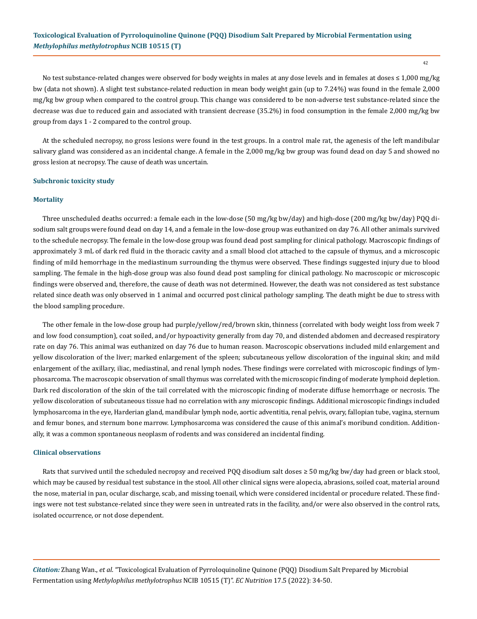42

No test substance-related changes were observed for body weights in males at any dose levels and in females at doses ≤ 1,000 mg/kg bw (data not shown). A slight test substance-related reduction in mean body weight gain (up to 7.24%) was found in the female 2,000 mg/kg bw group when compared to the control group. This change was considered to be non-adverse test substance-related since the decrease was due to reduced gain and associated with transient decrease (35.2%) in food consumption in the female 2,000 mg/kg bw group from days 1 - 2 compared to the control group.

At the scheduled necropsy, no gross lesions were found in the test groups. In a control male rat, the agenesis of the left mandibular salivary gland was considered as an incidental change. A female in the 2,000 mg/kg bw group was found dead on day 5 and showed no gross lesion at necropsy. The cause of death was uncertain.

### **Subchronic toxicity study**

#### **Mortality**

Three unscheduled deaths occurred: a female each in the low-dose (50 mg/kg bw/day) and high-dose (200 mg/kg bw/day) PQQ disodium salt groups were found dead on day 14, and a female in the low-dose group was euthanized on day 76. All other animals survived to the schedule necropsy. The female in the low-dose group was found dead post sampling for clinical pathology. Macroscopic findings of approximately 3 mL of dark red fluid in the thoracic cavity and a small blood clot attached to the capsule of thymus, and a microscopic finding of mild hemorrhage in the mediastinum surrounding the thymus were observed. These findings suggested injury due to blood sampling. The female in the high-dose group was also found dead post sampling for clinical pathology. No macroscopic or microscopic findings were observed and, therefore, the cause of death was not determined. However, the death was not considered as test substance related since death was only observed in 1 animal and occurred post clinical pathology sampling. The death might be due to stress with the blood sampling procedure.

The other female in the low-dose group had purple/yellow/red/brown skin, thinness (correlated with body weight loss from week 7 and low food consumption), coat soiled, and/or hypoactivity generally from day 70, and distended abdomen and decreased respiratory rate on day 76. This animal was euthanized on day 76 due to human reason. Macroscopic observations included mild enlargement and yellow discoloration of the liver; marked enlargement of the spleen; subcutaneous yellow discoloration of the inguinal skin; and mild enlargement of the axillary, iliac, mediastinal, and renal lymph nodes. These findings were correlated with microscopic findings of lymphosarcoma. The macroscopic observation of small thymus was correlated with the microscopic finding of moderate lymphoid depletion. Dark red discoloration of the skin of the tail correlated with the microscopic finding of moderate diffuse hemorrhage or necrosis. The yellow discoloration of subcutaneous tissue had no correlation with any microscopic findings. Additional microscopic findings included lymphosarcoma in the eye, Harderian gland, mandibular lymph node, aortic adventitia, renal pelvis, ovary, fallopian tube, vagina, sternum and femur bones, and sternum bone marrow. Lymphosarcoma was considered the cause of this animal's moribund condition. Additionally, it was a common spontaneous neoplasm of rodents and was considered an incidental finding.

## **Clinical observations**

Rats that survived until the scheduled necropsy and received PQQ disodium salt doses  $\geq$  50 mg/kg bw/day had green or black stool, which may be caused by residual test substance in the stool. All other clinical signs were alopecia, abrasions, soiled coat, material around the nose, material in pan, ocular discharge, scab, and missing toenail, which were considered incidental or procedure related. These findings were not test substance-related since they were seen in untreated rats in the facility, and/or were also observed in the control rats, isolated occurrence, or not dose dependent.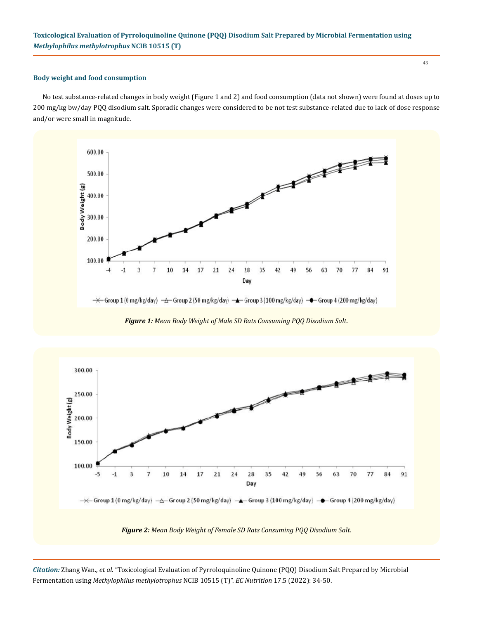#### **Body weight and food consumption**

No test substance-related changes in body weight (Figure 1 and 2) and food consumption (data not shown) were found at doses up to 200 mg/kg bw/day PQQ disodium salt. Sporadic changes were considered to be not test substance-related due to lack of dose response and/or were small in magnitude.



*Figure 1: Mean Body Weight of Male SD Rats Consuming PQQ Disodium Salt.*



*Citation:* Zhang Wan., *et al*. "Toxicological Evaluation of Pyrroloquinoline Quinone (PQQ) Disodium Salt Prepared by Microbial Fermentation using *Methylophilus methylotrophus* NCIB 10515 (T)". *EC Nutrition* 17.5 (2022): 34-50.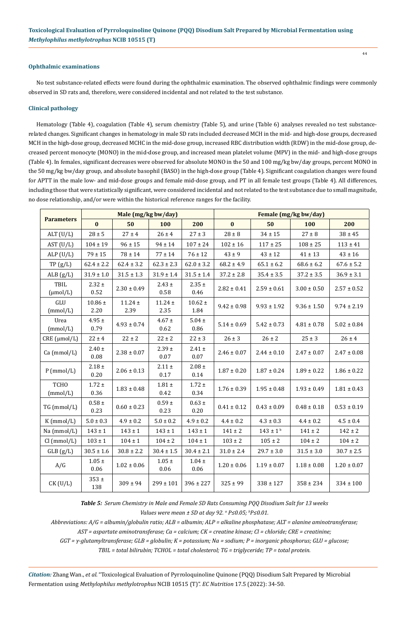## **Ophthalmic examinations**

No test substance-related effects were found during the ophthalmic examination. The observed ophthalmic findings were commonly observed in SD rats and, therefore, were considered incidental and not related to the test substance.

## **Clinical pathology**

Hematology (Table 4), coagulation (Table 4), serum chemistry (Table 5), and urine (Table 6) analyses revealed no test substancerelated changes. Significant changes in hematology in male SD rats included decreased MCH in the mid- and high-dose groups, decreased MCH in the high-dose group, decreased MCHC in the mid-dose group, increased RBC distribution width (RDW) in the mid-dose group, decreased percent monocyte (MONO) in the mid-dose group, and increased mean platelet volume (MPV) in the mid- and high-dose groups (Table 4). In females, significant decreases were observed for absolute MONO in the 50 and 100 mg/kg bw/day groups, percent MONO in the 50 mg/kg bw/day group, and absolute basophil (BASO) in the high-dose group (Table 4). Significant coagulation changes were found for APTT in the male low- and mid-dose groups and female mid-dose group, and PT in all female test groups (Table 4). All differences, including those that were statistically significant, were considered incidental and not related to the test substance due to small magnitude, no dose relationship, and/or were within the historical reference ranges for the facility.

|                         | Male (mg/kg bw/day)    |                     |                       |                        | Female (mg/kg bw/day) |                          |                 |                 |  |
|-------------------------|------------------------|---------------------|-----------------------|------------------------|-----------------------|--------------------------|-----------------|-----------------|--|
| <b>Parameters</b>       | $\bf{0}$               | 50                  | 100                   | 200                    | $\bf{0}$              | 50                       | 100             | 200             |  |
| ALT $(U/L)$             | $28 \pm 5$             | $27 \pm 4$          | $26 \pm 4$            | $27 \pm 3$             | $28 \pm 8$            | $34 \pm 15$              | $27 \pm 8$      | $38 \pm 45$     |  |
| AST (U/L)               | $104 \pm 19$           | $96 \pm 15$         | $94 \pm 14$           | $107 \pm 24$           | $102 \pm 16$          | $117 \pm 25$             | $108 \pm 25$    | $113 \pm 41$    |  |
| ALP $(U/L)$             | $79 \pm 15$            | $78 \pm 14$         | $77 \pm 14$           | $76 \pm 12$            | $43\pm9$              | $43 \pm 12$              | $41 \pm 13$     | $43 \pm 16$     |  |
| TP(g/L)                 | $62.4 \pm 2.2$         | $62.4 \pm 3.2$      | $62.3 \pm 2.3$        | $62.0 \pm 3.2$         | $68.2 \pm 4.9$        | $65.1 \pm 6.2$           | $68.6 \pm 6.2$  | $67.6 \pm 5.2$  |  |
| ALB $(g/L)$             | $31.9 \pm 1.0$         | $31.5 \pm 1.3$      | $31.9 \pm 1.4$        | $31.5 \pm 1.4$         | $37.2 \pm 2.8$        | $35.4 \pm 3.5$           | $37.2 \pm 3.5$  | $36.9 \pm 3.1$  |  |
| TBIL<br>$(\mu mol/L)$   | $2.32 \pm$<br>0.52     | $2.30 \pm 0.49$     | $2.43 \pm$<br>0.58    | $2.35 \pm$<br>0.46     | $2.82 \pm 0.41$       | $2.59 \pm 0.61$          | $3.00 \pm 0.50$ | $2.57\pm0.52$   |  |
| GLU<br>(mmol/L)         | $10.86\,\pm\,$<br>2.20 | $11.24 \pm$<br>2.39 | $11.24 \pm$<br>2.35   | $10.62\,\pm\,$<br>1.84 | $9.42 \pm 0.98$       | $9.93 \pm 1.92$          | $9.36 \pm 1.50$ | $9.74 \pm 2.19$ |  |
| Urea<br>(mmol/L)        | $4.95 \pm$<br>0.79     | $4.93 \pm 0.74$     | $4.67 \pm$<br>0.62    | $5.04 \pm$<br>0.86     | $5.14 \pm 0.69$       | $5.42 \pm 0.73$          | $4.81 \pm 0.78$ | $5.02 \pm 0.84$ |  |
| CRE (µmol/L)            | $22 \pm 4$             | $22 \pm 2$          | $22 \pm 2$            | $22 \pm 3$             | $26 \pm 3$            | $26 \pm 2$<br>$25 \pm 3$ |                 | $26 \pm 4$      |  |
| Ca (mmol/L)             | $2.40 \pm$<br>0.08     | $2.38 \pm 0.07$     | $2.39 \pm$<br>0.07    | $2.41 \pm$<br>0.07     | $2.46 \pm 0.07$       | $2.44 \pm 0.10$          | $2.47 \pm 0.07$ | $2.47 \pm 0.08$ |  |
| $P$ (mmol/L)            | $2.18 \pm$<br>0.20     | $2.06 \pm 0.13$     | $2.11 \pm$<br>0.17    | $2.08 \pm$<br>0.14     | $1.87\pm0.20$         | $1.87 \pm 0.24$          | $1.89 \pm 0.22$ | $1.86 \pm 0.22$ |  |
| <b>TCHO</b><br>(mmol/L) | $1.72 \pm$<br>0.36     | $1.83 \pm 0.48$     | $1.81\,\pm$<br>0.42   | $1.72 \pm$<br>0.34     | $1.76 \pm 0.39$       | $1.95 \pm 0.48$          | $1.93 \pm 0.49$ | $1.81 \pm 0.43$ |  |
| TG (mmol/L)             | $0.58\,\pm\,$<br>0.23  | $0.60 \pm 0.23$     | $0.59\,\pm\,$<br>0.23 | $0.63 \pm$<br>0.20     | $0.41 \pm 0.12$       | $0.43 \pm 0.09$          | $0.48 \pm 0.18$ | $0.53\pm0.19$   |  |
| $K$ (mmol/L)            | $5.0 \pm 0.3$          | $4.9 \pm 0.2$       | $5.0 \pm 0.2$         | $4.9 \pm 0.2$          | $4.4 \pm 0.2$         | $4.3 \pm 0.3$            | $4.4 \pm 0.2$   | $4.5 \pm 0.4$   |  |
| Na (mmol/L)             | $143 \pm 1$            | $143 \pm 1$         | $143 \pm 1$           | $143 \pm 1$            | $141 \pm 2$           | $143 \pm 1^{b}$          | $141 \pm 2$     | $142 \pm 2$     |  |
| Cl (mmol/L)             | $103 \pm 1$            | $104 \pm 1$         | $104 \pm 2$           | $104 \pm 1$            | $103 \pm 2$           | $105 \pm 2$              | $104 \pm 2$     | $104 \pm 2$     |  |
| GLB(g/L)                | $30.5 \pm 1.6$         | $30.8 \pm 2.2$      | $30.4 \pm 1.5$        | $30.4 \pm 2.1$         | $31.0 \pm 2.4$        | $29.7 \pm 3.0$           | $31.5\pm3.0$    | $30.7 \pm 2.5$  |  |
| A/G                     | $1.05 \pm$<br>0.06     | $1.02 \pm 0.06$     | $1.05 \pm$<br>0.06    | $1.04 \pm$<br>0.06     | $1.20 \pm 0.06$       | $1.19 \pm 0.07$          | $1.18 \pm 0.08$ | $1.20 \pm 0.07$ |  |
| $CK$ (U/L)              | $353 \pm$<br>138       | $309 \pm 94$        | $299 \pm 101$         | $396 \pm 227$          | $325 \pm 99$          | $338 \pm 127$            | $358 \pm 234$   | $334 \pm 100$   |  |

*Table 5: Serum Chemistry in Male and Female SD Rats Consuming PQQ Disodium Salt for 13 weeks Values were mean ± SD at day 92. a P≤0.05; <sup>b</sup> P≤0.01.*

*Abbreviations: A/G = albumin/globulin ratio; ALB = albumin; ALP = alkaline phosphatase; ALT = alanine aminotransferase;* 

*AST = aspartate aminotransferase; Ca = calcium; CK = creatine kinase; Cl = chloride; CRE = creatinine;* 

*GGT = γ-glutamyltransferase; GLB = globulin; K = potassium; Na = sodium; P = inorganic phosphorus; GLU = glucose;* 

*TBIL = total bilirubin; TCHOL = total cholesterol; TG = triglyceride; TP = total protein.*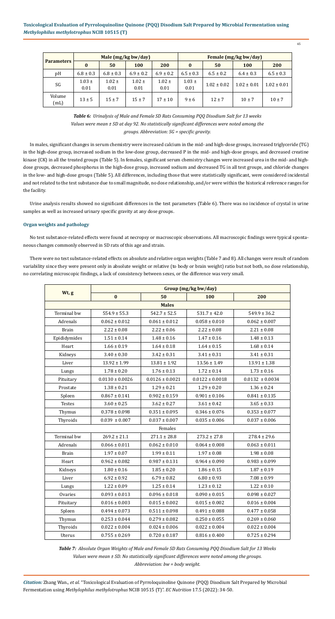*Citation:* Zhang Wan., *et al*. "Toxicological Evaluation of Pyrroloquinoline Quinone (PQQ) Disodium Salt Prepared by Microbial Fermentation using *Methylophilus methylotrophus* NCIB 10515 (T)". *EC Nutrition* 17.5 (2022): 34-50.

45

| <b>Parameters</b> | Male $(mg/kg bw/day)$ |                    |                    |                    | Female (mg/kg bw/day) |                 |                 |                 |  |
|-------------------|-----------------------|--------------------|--------------------|--------------------|-----------------------|-----------------|-----------------|-----------------|--|
|                   | $\mathbf{0}$          | 50                 | 100                | 200                | $\bf{0}$              | 50              | 100             | 200             |  |
| pH                | $6.8 \pm 0.3$         | $6.8 \pm 0.3$      | $6.9 \pm 0.2$      | $6.9 \pm 0.2$      | $6.5 \pm 0.3$         | $6.5 \pm 0.2$   | $6.4 \pm 0.3$   | $6.5 \pm 0.3$   |  |
| SG                | $1.03 \pm$<br>0.01    | $1.02 \pm$<br>0.01 | $1.02 \pm$<br>0.01 | $1.02 \pm$<br>0.01 | $1.03 \pm$<br>0.01    | $1.02 \pm 0.02$ | $1.02 \pm 0.01$ | $1.02 \pm 0.01$ |  |
| Volume<br>(mL)    | $13 \pm 5$            | $15 \pm 7$         | $15 \pm 7$         | $17 \pm 10$        | $9 \pm 6$             | $12 \pm 7$      | $10 \pm 7$      | $10 \pm 7$      |  |

*Table 6: Urinalysis of Male and Female SD Rats Consuming PQQ Disodium Salt for 13 weeks Values were mean ± SD at day 92. No statistically significant differences were noted among the groups. Abbreviation: SG = specific gravity.* 

In males, significant changes in serum chemistry were increased calcium in the mid- and high-dose groups, increased triglyceride (TG) in the high-dose group, increased sodium in the low-dose group, decreased P in the mid- and high-dose groups, and decreased creatine kinase (CK) in all the treated groups (Table 5). In females, significant serum chemistry changes were increased urea in the mid- and highdose groups, decreased phosphorus in the high-dose group, increased sodium and decreased TG in all test groups, and chloride changes in the low- and high-dose groups (Table 5). All differences, including those that were statistically significant, were considered incidental and not related to the test substance due to small magnitude, no dose relationship, and/or were within the historical reference ranges for the facility.

Urine analysis results showed no significant differences in the test parameters (Table 6). There was no incidence of crystal in urine samples as well as increased urinary specific gravity at any dose groups.

# **Organ weights and pathology**

No test substance-related effects were found at necropsy or macroscopic observations. All macroscopic findings were typical spontaneous changes commonly observed in SD rats of this age and strain.

There were no test substance-related effects on absolute and relative organ weights (Table 7 and 8). All changes were result of random variability since they were present only in absolute weight or relative (to body or brain weight) ratio but not both, no dose relationship, no correlating microscopic findings, a lack of consistency between sexes, or the difference was very small.

|               | Group (mg/kg bw/day) |                     |                     |                     |  |  |  |  |
|---------------|----------------------|---------------------|---------------------|---------------------|--|--|--|--|
| Wt, g         | $\bf{0}$             | 50                  | 100                 | 200                 |  |  |  |  |
|               |                      | <b>Males</b>        |                     |                     |  |  |  |  |
| Terminal bw   | $554.9 \pm 55.3$     | $542.7 \pm 52.5$    | $531.7 \pm 42.0$    | $549.9 \pm 36.2$    |  |  |  |  |
| Adrenals      | $0.062 \pm 0.012$    | $0.061 \pm 0.012$   | $0.058 \pm 0.010$   | $0.062 \pm 0.007$   |  |  |  |  |
| <b>Brain</b>  | $2.22 \pm 0.08$      | $2.22 \pm 0.06$     | $2.22 \pm 0.08$     | $2.21 \pm 0.08$     |  |  |  |  |
| Epididymides  | $1.51 \pm 0.14$      | $1.48 \pm 0.16$     | $1.47 \pm 0.16$     | $1.48 \pm 0.13$     |  |  |  |  |
| Heart         | $1.66 \pm 0.19$      | $1.64 \pm 0.18$     | $1.64 \pm 0.15$     | $1.68 \pm 0.14$     |  |  |  |  |
| Kidneys       | $3.40 \pm 0.30$      | $3.42 \pm 0.31$     | $3.41 \pm 0.31$     | $3.41 \pm 0.31$     |  |  |  |  |
| Liver         | $13.92 \pm 1.99$     | $13.81 \pm 1.92$    | $13.56 \pm 1.49$    | $13.91 \pm 1.38$    |  |  |  |  |
| Lungs         | $1.78 \pm 0.20$      | $1.76 \pm 0.13$     | $1.72 \pm 0.14$     | $1.73 \pm 0.16$     |  |  |  |  |
| Pituitary     | $0.0130 \pm 0.0026$  | $0.0126 \pm 0.0021$ | $0.0122 \pm 0.0018$ | $0.0132 \pm 0.0034$ |  |  |  |  |
| Prostate      | $1.38 \pm 0.21$      | $1.29 \pm 0.21$     | $1.29 \pm 0.20$     | $1.36 \pm 0.24$     |  |  |  |  |
| Spleen        | $0.867 \pm 0.141$    | $0.902 \pm 0.159$   | $0.901 \pm 0.106$   | $0.841 \pm 0.135$   |  |  |  |  |
| <b>Testes</b> | $3.60 \pm 0.25$      | $3.62 \pm 0.27$     | $3.61 \pm 0.42$     | $3.65 \pm 0.33$     |  |  |  |  |
| Thymus        | $0.378 \pm 0.098$    | $0.351 \pm 0.095$   | $0.346 \pm 0.076$   | $0.353 \pm 0.077$   |  |  |  |  |
| Thyroids      | $0.039 \pm 0.007$    | $0.037 \pm 0.007$   | $0.035 \pm 0.006$   | $0.037 \pm 0.006$   |  |  |  |  |
|               |                      | Females             |                     |                     |  |  |  |  |
| Terminal bw   | $269.2 \pm 21.1$     | $271.1 \pm 28.8$    | $273.2 \pm 27.8$    | $278.4 \pm 29.6$    |  |  |  |  |
| Adrenals      | $0.066 \pm 0.011$    | $0.062 \pm 0.010$   | $0.064 \pm 0.008$   | $0.063 \pm 0.011$   |  |  |  |  |
| <b>Brain</b>  | $1.97 \pm 0.07$      | $1.99 \pm 0.11$     | $1.97 \pm 0.08$     | $1.98 \pm 0.08$     |  |  |  |  |
| Heart         | $0.962 \pm 0.082$    | $0.987 \pm 0.131$   | $0.964 \pm 0.090$   | $0.983 \pm 0.099$   |  |  |  |  |
| Kidneys       | $1.80 \pm 0.16$      | $1.85 \pm 0.20$     | $1.86 \pm 0.15$     | $1.87 \pm 0.19$     |  |  |  |  |
| Liver         | $6.92 \pm 0.92$      | $6.79 \pm 0.82$     | $6.80 \pm 0.93$     | $7.08 \pm 0.99$     |  |  |  |  |
| Lungs         | $1.22 \pm 0.09$      | $1.25 \pm 0.14$     | $1.23 \pm 0.12$     | $1.22 \pm 0.10$     |  |  |  |  |

| Ovaries)  | $0.093 \pm 0.013$ | $0.096 \pm 0.018$ | $0.090 \pm 0.015$ | $0.098 \pm 0.027$ |
|-----------|-------------------|-------------------|-------------------|-------------------|
| Pituitary | $0.016 \pm 0.003$ | $0.015 \pm 0.002$ | $0.015 \pm 0.002$ | $0.016 \pm 0.004$ |
| Spleen    | $0.494 \pm 0.073$ | $0.511 \pm 0.098$ | $0.491 \pm 0.088$ | $0.477 \pm 0.058$ |
| Thymus    | $0.253 \pm 0.044$ | $0.279 \pm 0.082$ | $0.250 \pm 0.055$ | $0.269 \pm 0.060$ |
| Thyroids  | $0.022 \pm 0.004$ | $0.024 \pm 0.006$ | $0.022 \pm 0.004$ | $0.022 \pm 0.004$ |
| Uterus    | $0.755 \pm 0.269$ | $0.720 \pm 0.187$ | $0.816 \pm 0.400$ | $0.725 \pm 0.294$ |

*Table 7: Absolute Organ Weights of Male and Female SD Rats Consuming PQQ Disodium Salt for 13 Weeks Values were mean ± SD. No statistically significant differences were noted among the groups. Abbreviation: bw = body weight.*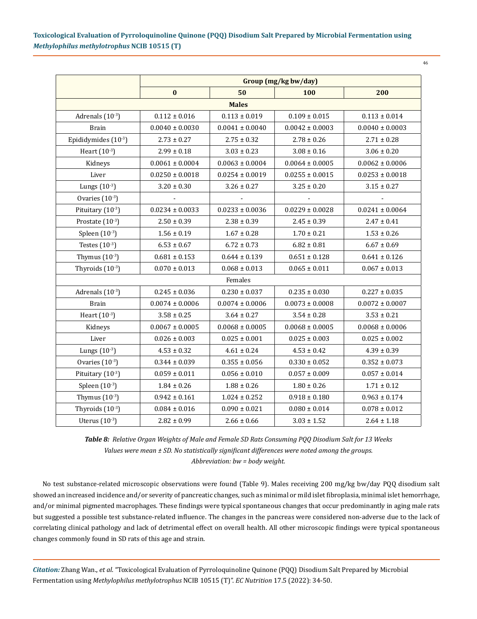| ٠ | ٦<br>۰. |  |
|---|---------|--|
|   |         |  |

|                       | Group (mg/kg bw/day) |                     |                     |                     |  |  |  |
|-----------------------|----------------------|---------------------|---------------------|---------------------|--|--|--|
|                       | $\bf{0}$             | 50                  | 100                 | 200                 |  |  |  |
|                       |                      | <b>Males</b>        |                     |                     |  |  |  |
| Adrenals (10-3)       | $0.112 \pm 0.016$    | $0.113 \pm 0.019$   | $0.109 \pm 0.015$   | $0.113 \pm 0.014$   |  |  |  |
| <b>Brain</b>          | $0.0040 \pm 0.0030$  | $0.0041 \pm 0.0040$ | $0.0042 \pm 0.0003$ | $0.0040 \pm 0.0003$ |  |  |  |
| Epididymides (10-3)   | $2.73 \pm 0.27$      | $2.75 \pm 0.32$     | $2.78 \pm 0.26$     | $2.71 \pm 0.28$     |  |  |  |
| Heart $(10^{-3})$     | $2.99 \pm 0.18$      | $3.03 \pm 0.23$     | $3.08 \pm 0.16$     | $3.06 \pm 0.20$     |  |  |  |
| Kidneys               | $0.0061 \pm 0.0004$  | $0.0063 \pm 0.0004$ | $0.0064 \pm 0.0005$ | $0.0062 \pm 0.0006$ |  |  |  |
| Liver                 | $0.0250 \pm 0.0018$  | $0.0254 \pm 0.0019$ | $0.0255 \pm 0.0015$ | $0.0253 \pm 0.0018$ |  |  |  |
| Lungs $(10^{-3})$     | $3.20 \pm 0.30$      | $3.26 \pm 0.27$     | $3.25 \pm 0.20$     | $3.15 \pm 0.27$     |  |  |  |
| Ovaries $(10^{-3})$   |                      |                     |                     |                     |  |  |  |
| Pituitary $(10^{-3})$ | $0.0234 \pm 0.0033$  | $0.0233 \pm 0.0036$ | $0.0229 \pm 0.0028$ | $0.0241 \pm 0.0064$ |  |  |  |
| Prostate $(10^{-3})$  | $2.50 \pm 0.39$      | $2.38 \pm 0.39$     | $2.45 \pm 0.39$     | $2.47 \pm 0.41$     |  |  |  |
| Spleen $(10^{-3})$    | $1.56 \pm 0.19$      | $1.67 \pm 0.28$     | $1.70 \pm 0.21$     | $1.53 \pm 0.26$     |  |  |  |
| Testes $(10^{-3})$    | $6.53 \pm 0.67$      | $6.72 \pm 0.73$     | $6.82 \pm 0.81$     | $6.67 \pm 0.69$     |  |  |  |
| Thymus $(10^{-3})$    | $0.681 \pm 0.153$    | $0.644 \pm 0.139$   | $0.651 \pm 0.128$   | $0.641 \pm 0.126$   |  |  |  |
| Thyroids $(10^{-3})$  | $0.070 \pm 0.013$    | $0.068 \pm 0.013$   | $0.065 \pm 0.011$   | $0.067 \pm 0.013$   |  |  |  |
|                       |                      | Females             |                     |                     |  |  |  |
| Adrenals $(10^{-3})$  | $0.245 \pm 0.036$    | $0.230 \pm 0.037$   | $0.235 \pm 0.030$   | $0.227 \pm 0.035$   |  |  |  |
| <b>Brain</b>          | $0.0074 \pm 0.0006$  | $0.0074 \pm 0.0006$ | $0.0073 \pm 0.0008$ | $0.0072 \pm 0.0007$ |  |  |  |
| Heart $(10^{-3})$     | $3.58 \pm 0.25$      | $3.64 \pm 0.27$     | $3.54 \pm 0.28$     | $3.53 \pm 0.21$     |  |  |  |
| Kidneys               | $0.0067 \pm 0.0005$  | $0.0068 \pm 0.0005$ | $0.0068 \pm 0.0005$ | $0.0068 \pm 0.0006$ |  |  |  |
| Liver                 | $0.026 \pm 0.003$    | $0.025 \pm 0.001$   | $0.025 \pm 0.003$   | $0.025 \pm 0.002$   |  |  |  |
| Lungs $(10^{-3})$     | $4.53 \pm 0.32$      | $4.61 \pm 0.24$     | $4.53 \pm 0.42$     | $4.39 \pm 0.39$     |  |  |  |
| Ovaries $(10^{-3})$   | $0.344 \pm 0.039$    | $0.355 \pm 0.056$   | $0.330 \pm 0.052$   | $0.352 \pm 0.073$   |  |  |  |
| Pituitary (10-3)      | $0.059 \pm 0.011$    | $0.056 \pm 0.010$   | $0.057 \pm 0.009$   | $0.057 \pm 0.014$   |  |  |  |
| Spleen $(10^{-3})$    | $1.84 \pm 0.26$      | $1.88 \pm 0.26$     | $1.80 \pm 0.26$     | $1.71 \pm 0.12$     |  |  |  |
| Thymus $(10^{-3})$    | $0.942 \pm 0.161$    | $1.024 \pm 0.252$   | $0.918 \pm 0.180$   | $0.963 \pm 0.174$   |  |  |  |
| Thyroids $(10^{-3})$  | $0.084 \pm 0.016$    | $0.090 \pm 0.021$   | $0.080 \pm 0.014$   | $0.078 \pm 0.012$   |  |  |  |
| Uterus $(10^{-3})$    | $2.82 \pm 0.99$      | $2.66 \pm 0.66$     | $3.03 \pm 1.52$     | $2.64 \pm 1.18$     |  |  |  |

*Table 8: Relative Organ Weights of Male and Female SD Rats Consuming PQQ Disodium Salt for 13 Weeks Values were mean ± SD. No statistically significant differences were noted among the groups. Abbreviation: bw = body weight.* 

No test substance-related microscopic observations were found (Table 9). Males receiving 200 mg/kg bw/day PQQ disodium salt showed an increased incidence and/or severity of pancreatic changes, such as minimal or mild islet fibroplasia, minimal islet hemorrhage, and/or minimal pigmented macrophages. These findings were typical spontaneous changes that occur predominantly in aging male rats but suggested a possible test substance-related influence. The changes in the pancreas were considered non-adverse due to the lack of correlating clinical pathology and lack of detrimental effect on overall health. All other microscopic findings were typical spontaneous changes commonly found in SD rats of this age and strain.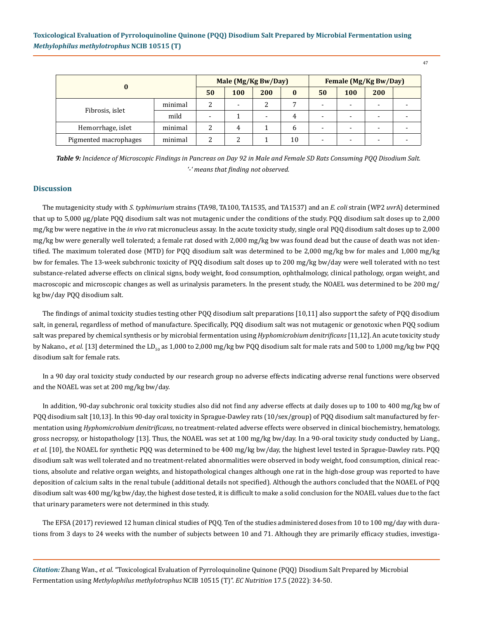|                       |         | Male (Mg/Kg Bw/Day) |     |     |          | Female (Mg/Kg Bw/Day)    |            |     |  |
|-----------------------|---------|---------------------|-----|-----|----------|--------------------------|------------|-----|--|
|                       |         | 50                  | 100 | 200 | $\bf{0}$ | 50                       | <b>100</b> | 200 |  |
|                       | minimal | っ<br>∠              | -   | ∸   |          | $\,$                     | -          |     |  |
| Fibrosis, islet       | mild    | $\overline{a}$      |     | -   | 4        | $\overline{\phantom{0}}$ | -          |     |  |
| Hemorrhage, islet     | minimal | ∠                   | 4   |     | b        | $\overline{\phantom{a}}$ | -          |     |  |
| Pigmented macrophages | minimal |                     | ◠   |     | 10       | ۰                        | -          |     |  |

*Table 9: Incidence of Microscopic Findings in Pancreas on Day 92 in Male and Female SD Rats Consuming PQQ Disodium Salt. '-' means that finding not observed.* 

# **Discussion**

The mutagenicity study with *S. typhimurium* strains (TA98, TA100, TA1535, and TA1537) and an *E. coli* strain (WP2 *uvr*A) determined that up to 5,000 μg/plate PQQ disodium salt was not mutagenic under the conditions of the study. PQQ disodium salt doses up to 2,000 mg/kg bw were negative in the *in vivo* rat micronucleus assay. In the acute toxicity study, single oral PQQ disodium salt doses up to 2,000 mg/kg bw were generally well tolerated; a female rat dosed with 2,000 mg/kg bw was found dead but the cause of death was not identified. The maximum tolerated dose (MTD) for PQQ disodium salt was determined to be 2,000 mg/kg bw for males and 1,000 mg/kg bw for females. The 13-week subchronic toxicity of PQQ disodium salt doses up to 200 mg/kg bw/day were well tolerated with no test substance-related adverse effects on clinical signs, body weight, food consumption, ophthalmology, clinical pathology, organ weight, and macroscopic and microscopic changes as well as urinalysis parameters. In the present study, the NOAEL was determined to be 200 mg/ kg bw/day PQQ disodium salt.

The findings of animal toxicity studies testing other PQQ disodium salt preparations [10,11] also support the safety of PQQ disodium salt, in general, regardless of method of manufacture. Specifically, PQQ disodium salt was not mutagenic or genotoxic when PQQ sodium salt was prepared by chemical synthesis or by microbial fermentation using *Hyphomicrobium denitrificans* [11,12]. An acute toxicity study by Nakano., *et al.* [13] determined the LD<sub>50</sub> as 1,000 to 2,000 mg/kg bw PQQ disodium salt for male rats and 500 to 1,000 mg/kg bw PQQ disodium salt for female rats.

In a 90 day oral toxicity study conducted by our research group no adverse effects indicating adverse renal functions were observed and the NOAEL was set at 200 mg/kg bw/day.

In addition, 90-day subchronic oral toxicity studies also did not find any adverse effects at daily doses up to 100 to 400 mg/kg bw of PQQ disodium salt [10,13]. In this 90-day oral toxicity in Sprague-Dawley rats (10/sex/group) of PQQ disodium salt manufactured by fermentation using *Hyphomicrobium denitrificans*, no treatment-related adverse effects were observed in clinical biochemistry, hematology, gross necropsy, or histopathology [13]. Thus, the NOAEL was set at 100 mg/kg bw/day. In a 90-oral toxicity study conducted by Liang., *et al.* [10], the NOAEL for synthetic PQQ was determined to be 400 mg/kg bw/day, the highest level tested in Sprague-Dawley rats. PQQ disodium salt was well tolerated and no treatment-related abnormalities were observed in body weight, food consumption, clinical reactions, absolute and relative organ weights, and histopathological changes although one rat in the high-dose group was reported to have deposition of calcium salts in the renal tubule (additional details not specified). Although the authors concluded that the NOAEL of PQQ disodium salt was 400 mg/kg bw/day, the highest dose tested, it is difficult to make a solid conclusion for the NOAEL values due to the fact that urinary parameters were not determined in this study.

The EFSA (2017) reviewed 12 human clinical studies of PQQ. Ten of the studies administered doses from 10 to 100 mg/day with durations from 3 days to 24 weeks with the number of subjects between 10 and 71. Although they are primarily efficacy studies, investiga-

*Citation:* Zhang Wan., *et al*. "Toxicological Evaluation of Pyrroloquinoline Quinone (PQQ) Disodium Salt Prepared by Microbial Fermentation using *Methylophilus methylotrophus* NCIB 10515 (T)". *EC Nutrition* 17.5 (2022): 34-50.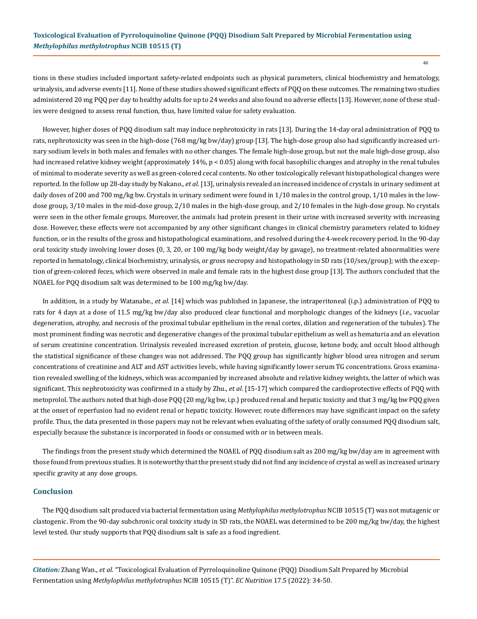tions in these studies included important safety-related endpoints such as physical parameters, clinical biochemistry and hematology, urinalysis, and adverse events [11]. None of these studies showed significant effects of PQQ on these outcomes. The remaining two studies administered 20 mg PQQ per day to healthy adults for up to 24 weeks and also found no adverse effects [13]. However, none of these studies were designed to assess renal function, thus, have limited value for safety evaluation.

However, higher doses of PQQ disodium salt may induce nephrotoxicity in rats [13]. During the 14-day oral administration of PQQ to rats, nephrotoxicity was seen in the high-dose (768 mg/kg bw/day) group [13]. The high-dose group also had significantly increased urinary sodium levels in both males and females with no other changes. The female high-dose group, but not the male high-dose group, also had increased relative kidney weight (approximately 14%, p < 0.05) along with focal basophilic changes and atrophy in the renal tubules of minimal to moderate severity as well as green-colored cecal contents. No other toxicologically relevant histopathological changes were reported. In the follow up 28-day study by Nakano., *et al.* [13], urinalysis revealed an increased incidence of crystals in urinary sediment at daily doses of 200 and 700 mg/kg bw. Crystals in urinary sediment were found in 1/10 males in the control group, 1/10 males in the lowdose group, 3/10 males in the mid-dose group, 2/10 males in the high-dose group, and 2/10 females in the high-dose group. No crystals were seen in the other female groups. Moreover, the animals had protein present in their urine with increased severity with increasing dose. However, these effects were not accompanied by any other significant changes in clinical chemistry parameters related to kidney function, or in the results of the gross and histopathological examinations, and resolved during the 4-week recovery period. In the 90-day oral toxicity study involving lower doses (0, 3, 20, or 100 mg/kg body weight/day by gavage), no treatment-related abnormalities were reported in hematology, clinical biochemistry, urinalysis, or gross necropsy and histopathology in SD rats (10/sex/group); with the exception of green-colored feces, which were observed in male and female rats in the highest dose group [13]. The authors concluded that the NOAEL for PQQ disodium salt was determined to be 100 mg/kg bw/day.

In addition, in a study by Watanabe., *et al*. [14] which was published in Japanese, the intraperitoneal (i.p.) administration of PQQ to rats for 4 days at a dose of 11.5 mg/kg bw/day also produced clear functional and morphologic changes of the kidneys (*i.e*., vacuolar degeneration, atrophy, and necrosis of the proximal tubular epithelium in the renal cortex, dilation and regeneration of the tubules). The most prominent finding was necrotic and degenerative changes of the proximal tubular epithelium as well as hematuria and an elevation of serum creatinine concentration. Urinalysis revealed increased excretion of protein, glucose, ketone body, and occult blood although the statistical significance of these changes was not addressed. The PQQ group has significantly higher blood urea nitrogen and serum concentrations of creatinine and ALT and AST activities levels, while having significantly lower serum TG concentrations. Gross examination revealed swelling of the kidneys, which was accompanied by increased absolute and relative kidney weights, the latter of which was significant. This nephrotoxicity was confirmed in a study by Zhu., *et al*. [15-17] which compared the cardioprotective effects of PQQ with metoprolol. The authors noted that high-dose PQQ (20 mg/kg bw, i.p.) produced renal and hepatic toxicity and that 3 mg/kg bw PQQ given at the onset of reperfusion had no evident renal or hepatic toxicity. However, route differences may have significant impact on the safety profile. Thus, the data presented in those papers may not be relevant when evaluating of the safety of orally consumed PQQ disodium salt, especially because the substance is incorporated in foods or consumed with or in between meals.

The findings from the present study which determined the NOAEL of PQQ disodium salt as 200 mg/kg bw/day are in agreement with those found from previous studies. It is noteworthy that the present study did not find any incidence of crystal as well as increased urinary specific gravity at any dose groups.

#### **Conclusion**

The PQQ disodium salt produced via bacterial fermentation using *Methylophilus methylotrophus* NCIB 10515 (T) was not mutagenic or clastogenic. From the 90-day subchronic oral toxicity study in SD rats, the NOAEL was determined to be 200 mg/kg bw/day, the highest level tested. Our study supports that PQQ disodium salt is safe as a food ingredient.

*Citation:* Zhang Wan., *et al*. "Toxicological Evaluation of Pyrroloquinoline Quinone (PQQ) Disodium Salt Prepared by Microbial Fermentation using *Methylophilus methylotrophus* NCIB 10515 (T)". *EC Nutrition* 17.5 (2022): 34-50.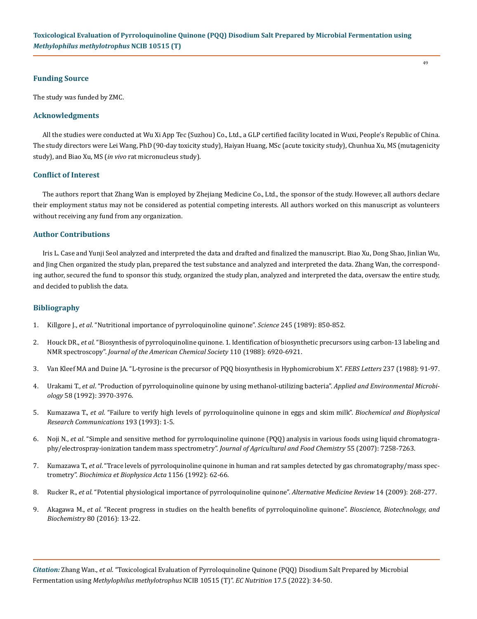## **Funding Source**

The study was funded by ZMC.

# **Acknowledgments**

All the studies were conducted at Wu Xi App Tec (Suzhou) Co., Ltd., a GLP certified facility located in Wuxi, People's Republic of China. The study directors were Lei Wang, PhD (90-day toxicity study), Haiyan Huang, MSc (acute toxicity study), Chunhua Xu, MS (mutagenicity study), and Biao Xu, MS (*in vivo* rat micronucleus study).

# **Conflict of Interest**

The authors report that Zhang Wan is employed by Zhejiang Medicine Co., Ltd., the sponsor of the study. However, all authors declare their employment status may not be considered as potential competing interests. All authors worked on this manuscript as volunteers without receiving any fund from any organization.

# **Author Contributions**

Iris L. Case and Yunji Seol analyzed and interpreted the data and drafted and finalized the manuscript. Biao Xu, Dong Shao, Jinlian Wu, and Jing Chen organized the study plan, prepared the test substance and analyzed and interpreted the data. Zhang Wan, the corresponding author, secured the fund to sponsor this study, organized the study plan, analyzed and interpreted the data, oversaw the entire study, and decided to publish the data.

# **Bibliography**

- 1. Killgore J., *et al*[. "Nutritional importance of pyrroloquinoline quinone".](https://pubmed.ncbi.nlm.nih.gov/2549636/) *Science* 245 (1989): 850-852.
- 2. Houck DR., *et al*[. "Biosynthesis of pyrroloquinoline quinone. 1. Identification of biosynthetic precursors using carbon-13 labeling and](https://www.semanticscholar.org/paper/Biosynthesis-of-pyrroloquinoline-quinone.-1.-of-and-Houck-Hanners/7683f43a54c8de1f780430a828cd093c2184145c) NMR spectroscopy". *[Journal of the American Chemical Society](https://www.semanticscholar.org/paper/Biosynthesis-of-pyrroloquinoline-quinone.-1.-of-and-Houck-Hanners/7683f43a54c8de1f780430a828cd093c2184145c)* 110 (1988): 6920-6921.
- 3. [Van Kleef MA and Duine JA. "L-tyrosine is the precursor of PQQ biosynthesis in Hyphomicrobium X".](https://pubmed.ncbi.nlm.nih.gov/2844590/) *FEBS Letters* 237 (1988): 91-97.
- 4. Urakami T., *et al*[. "Production of pyrroloquinoline quinone by using methanol-utilizing bacteria".](https://www.ncbi.nlm.nih.gov/pmc/articles/PMC183213/) *Applied and Environmental Microbiology* [58 \(1992\): 3970-3976.](https://www.ncbi.nlm.nih.gov/pmc/articles/PMC183213/)
- 5. Kumazawa T., *et al*[. "Failure to verify high levels of pyrroloquinoline quinone in eggs and skim milk".](https://pubmed.ncbi.nlm.nih.gov/8389143/) *Biochemical and Biophysical [Research Communications](https://pubmed.ncbi.nlm.nih.gov/8389143/)* 193 (1993): 1-5.
- 6. Noji N., *et al*[. "Simple and sensitive method for pyrroloquinoline quinone \(PQQ\) analysis in various foods using liquid chromatogra](https://pubs.acs.org/doi/10.1021/jf070483r)[phy/electrospray-ionization tandem mass spectrometry".](https://pubs.acs.org/doi/10.1021/jf070483r) *Journal of Agricultural and Food Chemistry* 55 (2007): 7258-7263.
- 7. Kumazawa T., *et al*[. "Trace levels of pyrroloquinoline quinone in human and rat samples detected by gas chromatography/mass spec](https://pubmed.ncbi.nlm.nih.gov/1335286/)trometry". *[Biochimica et Biophysica Acta](https://pubmed.ncbi.nlm.nih.gov/1335286/)* 1156 (1992): 62-66.
- 8. Rucker R., *et al*[. "Potential physiological importance of pyrroloquinoline quinone".](https://www.researchgate.net/publication/26869770_Potential_physiological_importance_of_PQQ) *Alternative Medicine Review* 14 (2009): 268-277.
- 9. Akagawa M., *et al*[. "Recent progress in studies on the health benefits of pyrroloquinoline quinone".](https://pubmed.ncbi.nlm.nih.gov/26168402/) *Bioscience, Biotechnology, and Biochemistry* [80 \(2016\): 13-22.](https://pubmed.ncbi.nlm.nih.gov/26168402/)

*Citation:* Zhang Wan., *et al*. "Toxicological Evaluation of Pyrroloquinoline Quinone (PQQ) Disodium Salt Prepared by Microbial Fermentation using *Methylophilus methylotrophus* NCIB 10515 (T)". *EC Nutrition* 17.5 (2022): 34-50.